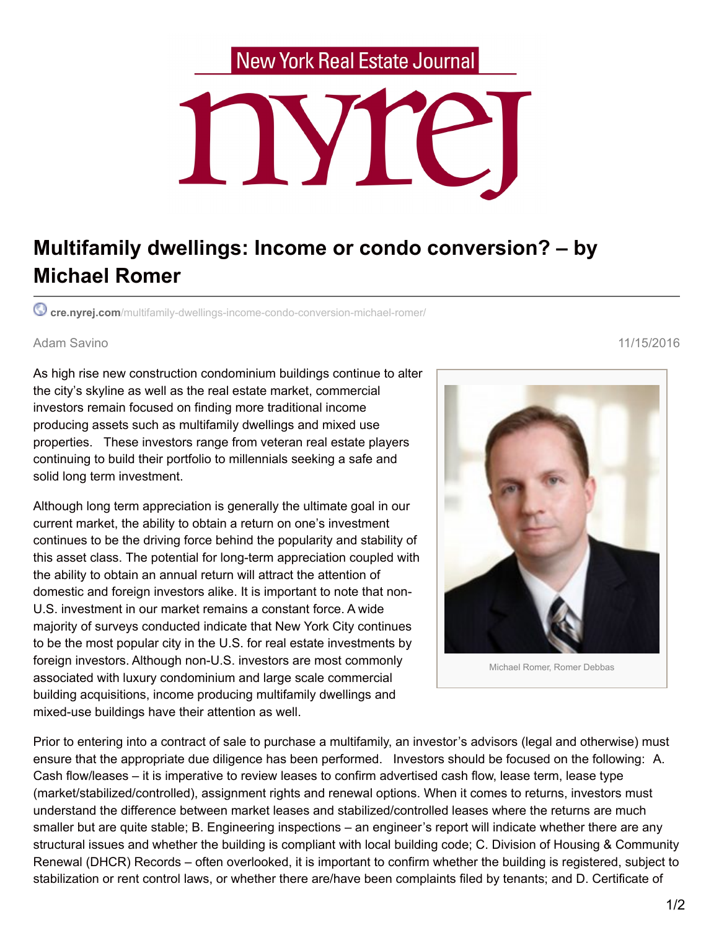## **New York Real Estate Journal**



## **Multifamily dwellings: Income or condo conversion? – by Michael Romer**

**cre.nyrej.com**[/multifamily-dwellings-income-condo-conversion-michael-romer/](https://cre.nyrej.com/multifamily-dwellings-income-condo-conversion-michael-romer/)

## Adam Savino 11/15/2016

As high rise new construction condominium buildings continue to alter the city's skyline as well as the real estate market, commercial investors remain focused on finding more traditional income producing assets such as multifamily dwellings and mixed use properties. These investors range from veteran real estate players continuing to build their portfolio to millennials seeking a safe and solid long term investment.

Although long term appreciation is generally the ultimate goal in our current market, the ability to obtain a return on one's investment continues to be the driving force behind the popularity and stability of this asset class. The potential for long-term appreciation coupled with the ability to obtain an annual return will attract the attention of domestic and foreign investors alike. It is important to note that non-U.S. investment in our market remains a constant force. A wide majority of surveys conducted indicate that New York City continues to be the most popular city in the U.S. for real estate investments by foreign investors. Although non-U.S. investors are most commonly associated with luxury condominium and large scale commercial building acquisitions, income producing multifamily dwellings and mixed-use buildings have their attention as well.



Prior to entering into a contract of sale to purchase a multifamily, an investor's advisors (legal and otherwise) must ensure that the appropriate due diligence has been performed. Investors should be focused on the following: A. Cash flow/leases – it is imperative to review leases to confirm advertised cash flow, lease term, lease type (market/stabilized/controlled), assignment rights and renewal options. When it comes to returns, investors must understand the difference between market leases and stabilized/controlled leases where the returns are much smaller but are quite stable; B. Engineering inspections – an engineer's report will indicate whether there are any structural issues and whether the building is compliant with local building code; C. Division of Housing & Community Renewal (DHCR) Records – often overlooked, it is important to confirm whether the building is registered, subject to stabilization or rent control laws, or whether there are/have been complaints filed by tenants; and D. Certificate of